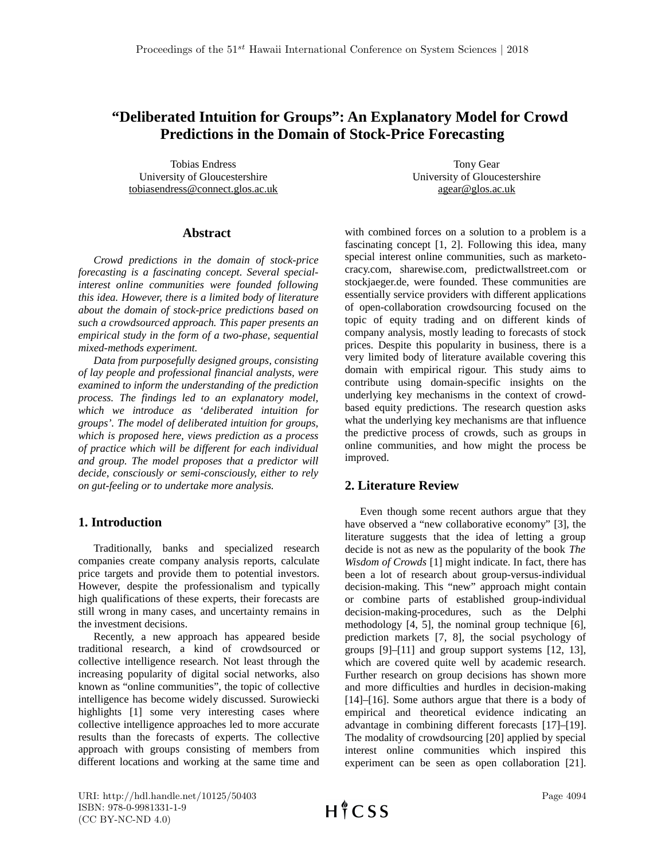# **"Deliberated Intuition for Groups": An Explanatory Model for Crowd Predictions in the Domain of Stock-Price Forecasting**

Tobias Endress University of Gloucestershire [tobiasendress@connect.glos.ac.uk](mailto:tobiasendress@connect.glos.ac.uk)

### **Abstract**

*Crowd predictions in the domain of stock-price forecasting is a fascinating concept. Several specialinterest online communities were founded following this idea. However, there is a limited body of literature about the domain of stock-price predictions based on such a crowdsourced approach. This paper presents an empirical study in the form of a two-phase, sequential mixed-methods experiment.* 

*Data from purposefully designed groups, consisting of lay people and professional financial analysts, were examined to inform the understanding of the prediction process. The findings led to an explanatory model, which we introduce as 'deliberated intuition for groups'. The model of deliberated intuition for groups, which is proposed here, views prediction as a process of practice which will be different for each individual and group. The model proposes that a predictor will decide, consciously or semi-consciously, either to rely on gut-feeling or to undertake more analysis.*

# **1. Introduction**

Traditionally, banks and specialized research companies create company analysis reports, calculate price targets and provide them to potential investors. However, despite the professionalism and typically high qualifications of these experts, their forecasts are still wrong in many cases, and uncertainty remains in the investment decisions.

Recently, a new approach has appeared beside traditional research, a kind of crowdsourced or collective intelligence research. Not least through the increasing popularity of digital social networks, also known as "online communities", the topic of collective intelligence has become widely discussed. Surowiecki highlights [1] some very interesting cases where collective intelligence approaches led to more accurate results than the forecasts of experts. The collective approach with groups consisting of members from different locations and working at the same time and

Tony Gear University of Gloucestershire [agear@glos.ac.uk](mailto:agear@glos.ac.uk)

with combined forces on a solution to a problem is a fascinating concept [1, 2]. Following this idea, many special interest online communities, such as marketocracy.com, sharewise.com, predictwallstreet.com or stockjaeger.de, were founded. These communities are essentially service providers with different applications of open-collaboration crowdsourcing focused on the topic of equity trading and on different kinds of company analysis, mostly leading to forecasts of stock prices. Despite this popularity in business, there is a very limited body of literature available covering this domain with empirical rigour. This study aims to contribute using domain-specific insights on the underlying key mechanisms in the context of crowdbased equity predictions. The research question asks what the underlying key mechanisms are that influence the predictive process of crowds, such as groups in online communities, and how might the process be improved.

### **2. Literature Review**

Even though some recent authors argue that they have observed a "new collaborative economy" [3], the literature suggests that the idea of letting a group decide is not as new as the popularity of the book *The Wisdom of Crowds* [1] might indicate. In fact, there has been a lot of research about group-versus-individual decision-making. This "new" approach might contain or combine parts of established group-individual decision-making-procedures, such as the Delphi methodology [4, 5], the nominal group technique [6], prediction markets [7, 8], the social psychology of groups [9]–[11] and group support systems [12, 13], which are covered quite well by academic research. Further research on group decisions has shown more and more difficulties and hurdles in decision-making [14]–[16]. Some authors argue that there is a body of empirical and theoretical evidence indicating an advantage in combining different forecasts [17]–[19]. The modality of crowdsourcing [20] applied by special interest online communities which inspired this experiment can be seen as open collaboration [21].

URI: http://hdl.handle.net/10125/50403 ISBN: 978-0-9981331-1-9 (CC BY-NC-ND 4.0)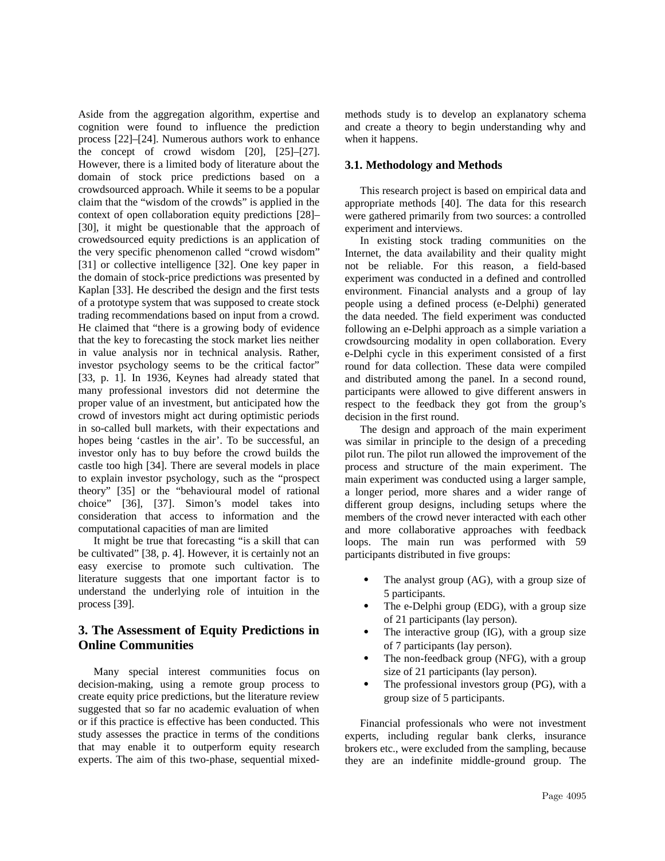Aside from the aggregation algorithm, expertise and cognition were found to influence the prediction process [22]–[24]. Numerous authors work to enhance the concept of crowd wisdom [20], [25]–[27]. However, there is a limited body of literature about the domain of stock price predictions based on a crowdsourced approach. While it seems to be a popular claim that the "wisdom of the crowds" is applied in the context of open collaboration equity predictions [28]– [30], it might be questionable that the approach of crowedsourced equity predictions is an application of the very specific phenomenon called "crowd wisdom" [31] or collective intelligence [32]. One key paper in the domain of stock-price predictions was presented by Kaplan [33]. He described the design and the first tests of a prototype system that was supposed to create stock trading recommendations based on input from a crowd. He claimed that "there is a growing body of evidence that the key to forecasting the stock market lies neither in value analysis nor in technical analysis. Rather, investor psychology seems to be the critical factor" [33, p. 1]. In 1936, Keynes had already stated that many professional investors did not determine the proper value of an investment, but anticipated how the crowd of investors might act during optimistic periods in so-called bull markets, with their expectations and hopes being 'castles in the air'. To be successful, an investor only has to buy before the crowd builds the castle too high [34]. There are several models in place to explain investor psychology, such as the "prospect theory" [35] or the "behavioural model of rational choice" [36], [37]. Simon's model takes into consideration that access to information and the computational capacities of man are limited

It might be true that forecasting "is a skill that can be cultivated" [38, p. 4]. However, it is certainly not an easy exercise to promote such cultivation. The literature suggests that one important factor is to understand the underlying role of intuition in the process [39].

# **3. The Assessment of Equity Predictions in Online Communities**

Many special interest communities focus on decision-making, using a remote group process to create equity price predictions, but the literature review suggested that so far no academic evaluation of when or if this practice is effective has been conducted. This study assesses the practice in terms of the conditions that may enable it to outperform equity research experts. The aim of this two-phase, sequential mixedmethods study is to develop an explanatory schema and create a theory to begin understanding why and when it happens.

# **3.1. Methodology and Methods**

This research project is based on empirical data and appropriate methods [40]. The data for this research were gathered primarily from two sources: a controlled experiment and interviews.

In existing stock trading communities on the Internet, the data availability and their quality might not be reliable. For this reason, a field-based experiment was conducted in a defined and controlled environment. Financial analysts and a group of lay people using a defined process (e-Delphi) generated the data needed. The field experiment was conducted following an e-Delphi approach as a simple variation a crowdsourcing modality in open collaboration. Every e-Delphi cycle in this experiment consisted of a first round for data collection. These data were compiled and distributed among the panel. In a second round, participants were allowed to give different answers in respect to the feedback they got from the group's decision in the first round.

The design and approach of the main experiment was similar in principle to the design of a preceding pilot run. The pilot run allowed the improvement of the process and structure of the main experiment. The main experiment was conducted using a larger sample, a longer period, more shares and a wider range of different group designs, including setups where the members of the crowd never interacted with each other and more collaborative approaches with feedback loops. The main run was performed with 59 participants distributed in five groups:

- The analyst group (AG), with a group size of 5 participants.
- The e-Delphi group (EDG), with a group size of 21 participants (lay person).
- The interactive group (IG), with a group size of 7 participants (lay person).
- The non-feedback group (NFG), with a group size of 21 participants (lay person).
- The professional investors group (PG), with a group size of 5 participants.

Financial professionals who were not investment experts, including regular bank clerks, insurance brokers etc., were excluded from the sampling, because they are an indefinite middle-ground group. The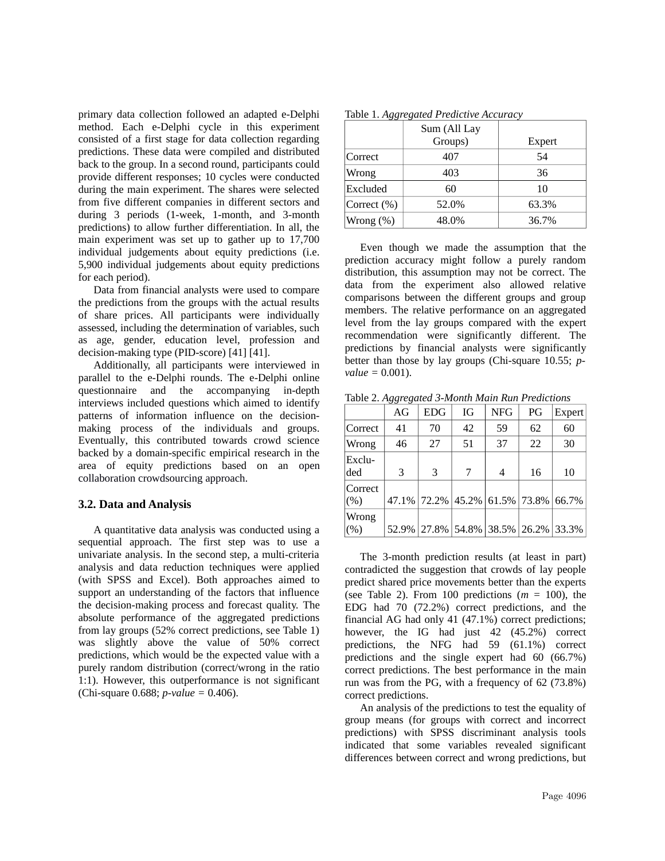primary data collection followed an adapted e-Delphi method. Each e-Delphi cycle in this experiment consisted of a first stage for data collection regarding predictions. These data were compiled and distributed back to the group. In a second round, participants could provide different responses; 10 cycles were conducted during the main experiment. The shares were selected from five different companies in different sectors and during 3 periods (1-week, 1-month, and 3-month predictions) to allow further differentiation. In all, the main experiment was set up to gather up to 17,700 individual judgements about equity predictions (i.e. 5,900 individual judgements about equity predictions for each period).

Data from financial analysts were used to compare the predictions from the groups with the actual results of share prices. All participants were individually assessed, including the determination of variables, such as age, gender, education level, profession and decision-making type (PID-score) [41] [41].

Additionally, all participants were interviewed in parallel to the e-Delphi rounds. The e-Delphi online questionnaire and the accompanying in-depth interviews included questions which aimed to identify patterns of information influence on the decisionmaking process of the individuals and groups. Eventually, this contributed towards crowd science backed by a domain-specific empirical research in the area of equity predictions based on an open collaboration crowdsourcing approach.

#### **3.2. Data and Analysis**

A quantitative data analysis was conducted using a sequential approach. The first step was to use a univariate analysis. In the second step, a multi-criteria analysis and data reduction techniques were applied (with SPSS and Excel). Both approaches aimed to support an understanding of the factors that influence the decision-making process and forecast quality. The absolute performance of the aggregated predictions from lay groups (52% correct predictions, see Table 1) was slightly above the value of 50% correct predictions, which would be the expected value with a purely random distribution (correct/wrong in the ratio 1:1). However, this outperformance is not significant (Chi-square 0.688; *p-value =* 0.406).

| Table 1. Tiggregated 1 redictive Tiecardey |              |        |  |  |  |  |
|--------------------------------------------|--------------|--------|--|--|--|--|
|                                            | Sum (All Lay |        |  |  |  |  |
|                                            | Groups)      | Expert |  |  |  |  |
| Correct                                    | 407          | 54     |  |  |  |  |
| Wrong                                      | 403          | 36     |  |  |  |  |
| Excluded                                   | 60           | 10     |  |  |  |  |
| Correct (%)                                | 52.0%        | 63.3%  |  |  |  |  |
| Wrong $(\%)$                               | 48.0%        | 36.7%  |  |  |  |  |

Table 1. *Aggregated Predictive Accuracy* 

Even though we made the assumption that the prediction accuracy might follow a purely random distribution, this assumption may not be correct. The data from the experiment also allowed relative comparisons between the different groups and group members. The relative performance on an aggregated level from the lay groups compared with the expert recommendation were significantly different. The predictions by financial analysts were significantly better than those by lay groups (Chi-square 10.55; *pvalue =* 0.001).

Table 2. *Aggregated 3-Month Main Run Predictions*

|                | AG | <b>EDG</b>                          | IG | <b>NFG</b> | PG | <b>Expert</b> |
|----------------|----|-------------------------------------|----|------------|----|---------------|
| Correct        | 41 | 70                                  | 42 | 59         | 62 | 60            |
| Wrong          | 46 | 27                                  | 51 | 37         | 22 | 30            |
| Exclu-<br>ded  | 3  | 3                                   | 7  | 4          | 16 | 10            |
| Correct<br>(%) |    | 47.1% 72.2% 45.2% 61.5% 73.8% 66.7% |    |            |    |               |
| Wrong<br>(%)   |    | 52.9% 27.8% 54.8% 38.5% 26.2% 33.3% |    |            |    |               |

The 3-month prediction results (at least in part) contradicted the suggestion that crowds of lay people predict shared price movements better than the experts (see Table 2). From 100 predictions (*m* = 100), the EDG had 70 (72.2%) correct predictions, and the financial AG had only 41 (47.1%) correct predictions; however, the IG had just 42 (45.2%) correct predictions, the NFG had 59 (61.1%) correct predictions and the single expert had 60 (66.7%) correct predictions. The best performance in the main run was from the PG, with a frequency of 62 (73.8%) correct predictions.

An analysis of the predictions to test the equality of group means (for groups with correct and incorrect predictions) with SPSS discriminant analysis tools indicated that some variables revealed significant differences between correct and wrong predictions, but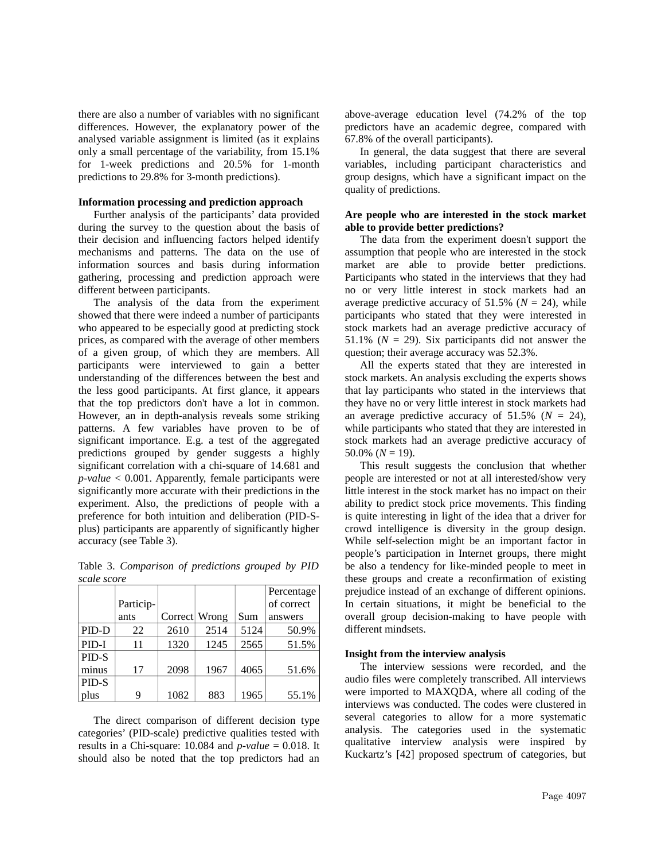there are also a number of variables with no significant differences. However, the explanatory power of the analysed variable assignment is limited (as it explains only a small percentage of the variability, from 15.1% for 1-week predictions and 20.5% for 1-month predictions to 29.8% for 3-month predictions).

#### **Information processing and prediction approach**

Further analysis of the participants' data provided during the survey to the question about the basis of their decision and influencing factors helped identify mechanisms and patterns. The data on the use of information sources and basis during information gathering, processing and prediction approach were different between participants.

The analysis of the data from the experiment showed that there were indeed a number of participants who appeared to be especially good at predicting stock prices, as compared with the average of other members of a given group, of which they are members. All participants were interviewed to gain a better understanding of the differences between the best and the less good participants. At first glance, it appears that the top predictors don't have a lot in common. However, an in depth-analysis reveals some striking patterns. A few variables have proven to be of significant importance. E.g. a test of the aggregated predictions grouped by gender suggests a highly significant correlation with a chi-square of 14.681 and *p-value* < 0.001. Apparently, female participants were significantly more accurate with their predictions in the experiment. Also, the predictions of people with a preference for both intuition and deliberation (PID-Splus) participants are apparently of significantly higher accuracy (see Table 3).

Table 3. *Comparison of predictions grouped by PID scale score*

| beare been e |           |               |      |      |            |
|--------------|-----------|---------------|------|------|------------|
|              |           |               |      |      | Percentage |
|              | Particip- |               |      |      | of correct |
|              | ants      | Correct Wrong |      | Sum  | answers    |
| PID-D        | 22        | 2610          | 2514 | 5124 | 50.9%      |
| PID-I        | 11        | 1320          | 1245 | 2565 | $51.5\%$   |
| PID-S        |           |               |      |      |            |
| minus        | 17        | 2098          | 1967 | 4065 | 51.6%      |
| PID-S        |           |               |      |      |            |
| plus         | 9         | 1082          | 883  | 1965 | 55.1%      |

The direct comparison of different decision type categories' (PID-scale) predictive qualities tested with results in a Chi-square: 10.084 and *p-value* = 0.018. It should also be noted that the top predictors had an

above-average education level (74.2% of the top predictors have an academic degree, compared with 67.8% of the overall participants).

In general, the data suggest that there are several variables, including participant characteristics and group designs, which have a significant impact on the quality of predictions.

#### **Are people who are interested in the stock market able to provide better predictions?**

The data from the experiment doesn't support the assumption that people who are interested in the stock market are able to provide better predictions. Participants who stated in the interviews that they had no or very little interest in stock markets had an average predictive accuracy of 51.5% ( $N = 24$ ), while participants who stated that they were interested in stock markets had an average predictive accuracy of 51.1% ( $N = 29$ ). Six participants did not answer the question; their average accuracy was 52.3%.

All the experts stated that they are interested in stock markets. An analysis excluding the experts shows that lay participants who stated in the interviews that they have no or very little interest in stock markets had an average predictive accuracy of  $51.5\%$  ( $N = 24$ ), while participants who stated that they are interested in stock markets had an average predictive accuracy of 50.0% ( $N = 19$ ).

This result suggests the conclusion that whether people are interested or not at all interested/show very little interest in the stock market has no impact on their ability to predict stock price movements. This finding is quite interesting in light of the idea that a driver for crowd intelligence is diversity in the group design. While self-selection might be an important factor in people's participation in Internet groups, there might be also a tendency for like-minded people to meet in these groups and create a reconfirmation of existing prejudice instead of an exchange of different opinions. In certain situations, it might be beneficial to the overall group decision-making to have people with different mindsets.

#### **Insight from the interview analysis**

The interview sessions were recorded, and the audio files were completely transcribed. All interviews were imported to MAXQDA, where all coding of the interviews was conducted. The codes were clustered in several categories to allow for a more systematic analysis. The categories used in the systematic qualitative interview analysis were inspired by Kuckartz's [42] proposed spectrum of categories, but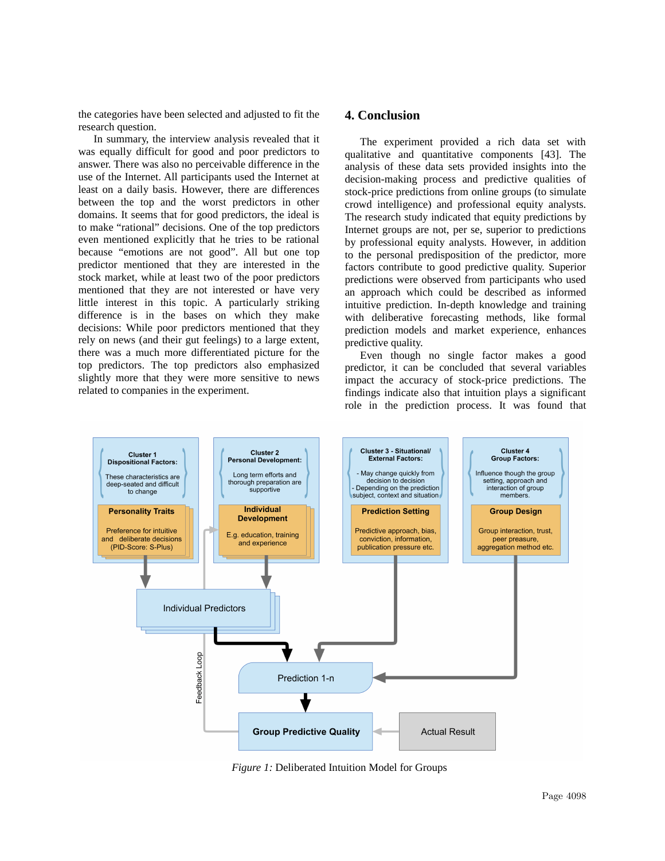the categories have been selected and adjusted to fit the research question.

In summary, the interview analysis revealed that it was equally difficult for good and poor predictors to answer. There was also no perceivable difference in the use of the Internet. All participants used the Internet at least on a daily basis. However, there are differences between the top and the worst predictors in other domains. It seems that for good predictors, the ideal is to make "rational" decisions. One of the top predictors even mentioned explicitly that he tries to be rational because "emotions are not good". All but one top predictor mentioned that they are interested in the stock market, while at least two of the poor predictors mentioned that they are not interested or have very little interest in this topic. A particularly striking difference is in the bases on which they make decisions: While poor predictors mentioned that they rely on news (and their gut feelings) to a large extent, there was a much more differentiated picture for the top predictors. The top predictors also emphasized slightly more that they were more sensitive to news related to companies in the experiment.

## **4. Conclusion**

The experiment provided a rich data set with qualitative and quantitative components [43]. The analysis of these data sets provided insights into the decision-making process and predictive qualities of stock-price predictions from online groups (to simulate crowd intelligence) and professional equity analysts. The research study indicated that equity predictions by Internet groups are not, per se, superior to predictions by professional equity analysts. However, in addition to the personal predisposition of the predictor, more factors contribute to good predictive quality. Superior predictions were observed from participants who used an approach which could be described as informed intuitive prediction. In-depth knowledge and training with deliberative forecasting methods, like formal prediction models and market experience, enhances predictive quality.

Even though no single factor makes a good predictor, it can be concluded that several variables impact the accuracy of stock-price predictions. The findings indicate also that intuition plays a significant role in the prediction process. It was found that



*Figure 1:* Deliberated Intuition Model for Groups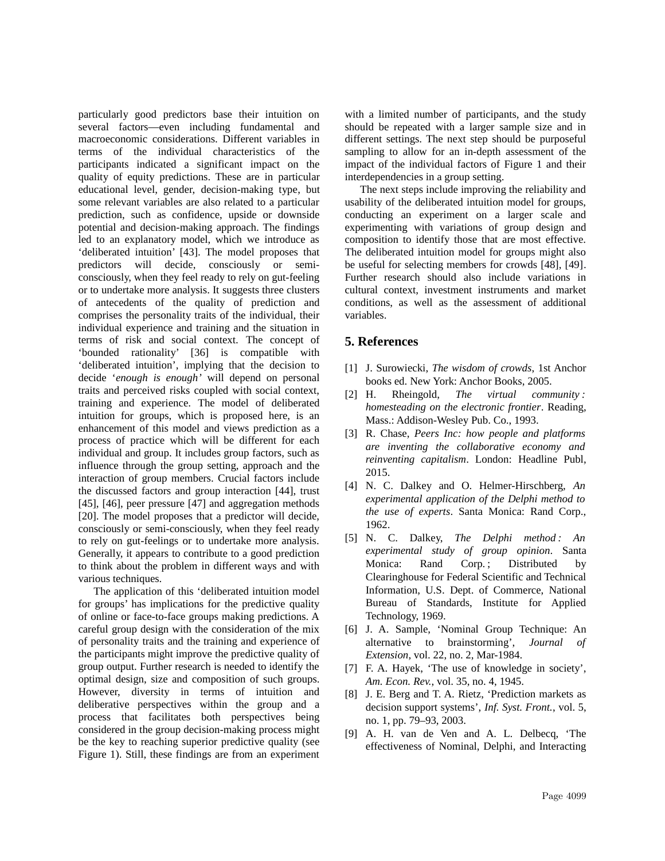particularly good predictors base their intuition on several factors—even including fundamental and macroeconomic considerations. Different variables in terms of the individual characteristics of the participants indicated a significant impact on the quality of equity predictions. These are in particular educational level, gender, decision-making type, but some relevant variables are also related to a particular prediction, such as confidence, upside or downside potential and decision-making approach. The findings led to an explanatory model, which we introduce as 'deliberated intuition' [43]. The model proposes that predictors will decide, consciously or semiconsciously, when they feel ready to rely on gut-feeling or to undertake more analysis. It suggests three clusters of antecedents of the quality of prediction and comprises the personality traits of the individual, their individual experience and training and the situation in terms of risk and social context. The concept of 'bounded rationality' [36] is compatible with 'deliberated intuition', implying that the decision to decide '*enough is enough'* will depend on personal traits and perceived risks coupled with social context, training and experience. The model of deliberated intuition for groups, which is proposed here, is an enhancement of this model and views prediction as a process of practice which will be different for each individual and group. It includes group factors, such as influence through the group setting, approach and the interaction of group members. Crucial factors include the discussed factors and group interaction [44], trust [45], [46], peer pressure [47] and aggregation methods [20]. The model proposes that a predictor will decide, consciously or semi-consciously, when they feel ready to rely on gut-feelings or to undertake more analysis. Generally, it appears to contribute to a good prediction to think about the problem in different ways and with various techniques.

The application of this 'deliberated intuition model for groups' has implications for the predictive quality of online or face-to-face groups making predictions. A careful group design with the consideration of the mix of personality traits and the training and experience of the participants might improve the predictive quality of group output. Further research is needed to identify the optimal design, size and composition of such groups. However, diversity in terms of intuition and deliberative perspectives within the group and a process that facilitates both perspectives being considered in the group decision-making process might be the key to reaching superior predictive quality (see Figure 1). Still, these findings are from an experiment

with a limited number of participants, and the study should be repeated with a larger sample size and in different settings. The next step should be purposeful sampling to allow for an in-depth assessment of the impact of the individual factors of Figure 1 and their interdependencies in a group setting.

The next steps include improving the reliability and usability of the deliberated intuition model for groups, conducting an experiment on a larger scale and experimenting with variations of group design and composition to identify those that are most effective. The deliberated intuition model for groups might also be useful for selecting members for crowds [48], [49]. Further research should also include variations in cultural context, investment instruments and market conditions, as well as the assessment of additional variables.

## **5. References**

- [1] J. Surowiecki, *The wisdom of crowds*, 1st Anchor books ed. New York: Anchor Books, 2005.
- [2] H. Rheingold, *The virtual community : homesteading on the electronic frontier*. Reading, Mass.: Addison-Wesley Pub. Co., 1993.
- [3] R. Chase, *Peers Inc: how people and platforms are inventing the collaborative economy and reinventing capitalism*. London: Headline Publ, 2015.
- [4] N. C. Dalkey and O. Helmer-Hirschberg, *An experimental application of the Delphi method to the use of experts*. Santa Monica: Rand Corp., 1962.
- [5] N. C. Dalkey, *The Delphi method : An experimental study of group opinion*. Santa Monica: Rand Corp.; Distributed by Clearinghouse for Federal Scientific and Technical Information, U.S. Dept. of Commerce, National Bureau of Standards, Institute for Applied Technology, 1969.
- [6] J. A. Sample, 'Nominal Group Technique: An alternative to brainstorming', *Journal of Extension*, vol. 22, no. 2, Mar-1984.
- [7] F. A. Hayek, 'The use of knowledge in society', *Am. Econ. Rev.*, vol. 35, no. 4, 1945.
- [8] J. E. Berg and T. A. Rietz, 'Prediction markets as decision support systems', *Inf. Syst. Front.*, vol. 5, no. 1, pp. 79–93, 2003.
- [9] A. H. van de Ven and A. L. Delbecq, 'The effectiveness of Nominal, Delphi, and Interacting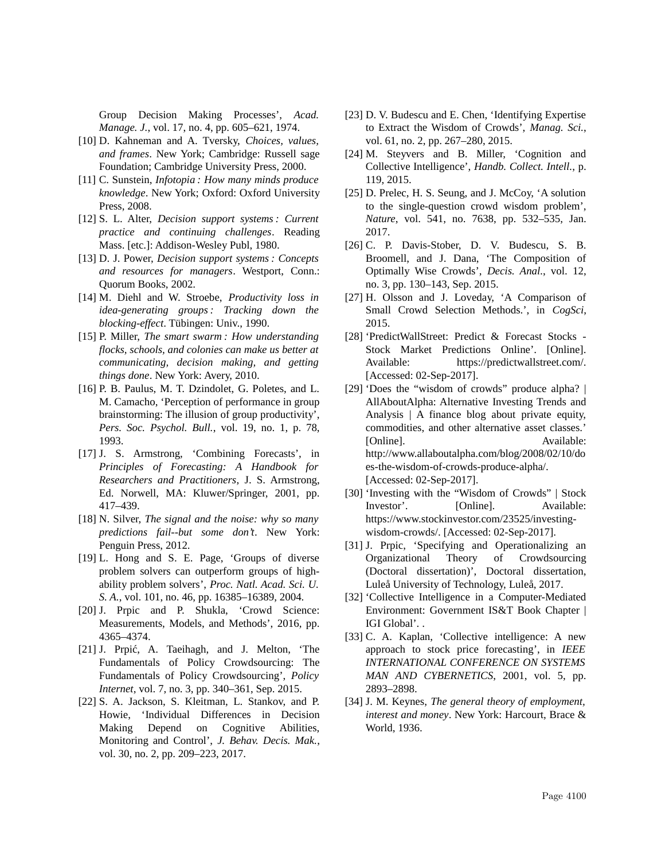Group Decision Making Processes', *Acad. Manage. J.*, vol. 17, no. 4, pp. 605–621, 1974.

- [10] D. Kahneman and A. Tversky, *Choices, values, and frames*. New York; Cambridge: Russell sage Foundation; Cambridge University Press, 2000.
- [11] C. Sunstein, *Infotopia : How many minds produce knowledge*. New York; Oxford: Oxford University Press, 2008.
- [12] S. L. Alter, *Decision support systems : Current practice and continuing challenges*. Reading Mass. [etc.]: Addison-Wesley Publ, 1980.
- [13] D. J. Power, *Decision support systems : Concepts and resources for managers*. Westport, Conn.: Quorum Books, 2002.
- [14] M. Diehl and W. Stroebe, *Productivity loss in idea-generating groups : Tracking down the blocking-effect*. Tübingen: Univ., 1990.
- [15] P. Miller, *The smart swarm : How understanding flocks, schools, and colonies can make us better at communicating, decision making, and getting things done*. New York: Avery, 2010.
- [16] P. B. Paulus, M. T. Dzindolet, G. Poletes, and L. M. Camacho, 'Perception of performance in group brainstorming: The illusion of group productivity', *Pers. Soc. Psychol. Bull.*, vol. 19, no. 1, p. 78, 1993.
- [17] J. S. Armstrong, 'Combining Forecasts', in *Principles of Forecasting: A Handbook for Researchers and Practitioners*, J. S. Armstrong, Ed. Norwell, MA: Kluwer/Springer, 2001, pp. 417–439.
- [18] N. Silver, *The signal and the noise: why so many predictions fail--but some don't*. New York: Penguin Press, 2012.
- [19] L. Hong and S. E. Page, 'Groups of diverse problem solvers can outperform groups of highability problem solvers', *Proc. Natl. Acad. Sci. U. S. A.*, vol. 101, no. 46, pp. 16385–16389, 2004.
- [20] J. Prpic and P. Shukla, 'Crowd Science: Measurements, Models, and Methods', 2016, pp. 4365–4374.
- [21] J. Prpić, A. Taeihagh, and J. Melton, 'The Fundamentals of Policy Crowdsourcing: The Fundamentals of Policy Crowdsourcing', *Policy Internet*, vol. 7, no. 3, pp. 340–361, Sep. 2015.
- [22] S. A. Jackson, S. Kleitman, L. Stankov, and P. Howie, 'Individual Differences in Decision Making Depend on Cognitive Abilities, Monitoring and Control', *J. Behav. Decis. Mak.*, vol. 30, no. 2, pp. 209–223, 2017.
- [23] D. V. Budescu and E. Chen, 'Identifying Expertise to Extract the Wisdom of Crowds', *Manag. Sci.*, vol. 61, no. 2, pp. 267–280, 2015.
- [24] M. Steyvers and B. Miller, 'Cognition and Collective Intelligence', *Handb. Collect. Intell.*, p. 119, 2015.
- [25] D. Prelec, H. S. Seung, and J. McCoy, 'A solution to the single-question crowd wisdom problem', *Nature*, vol. 541, no. 7638, pp. 532–535, Jan. 2017.
- [26] C. P. Davis-Stober, D. V. Budescu, S. B. Broomell, and J. Dana, 'The Composition of Optimally Wise Crowds', *Decis. Anal.*, vol. 12, no. 3, pp. 130–143, Sep. 2015.
- [27] H. Olsson and J. Loveday, 'A Comparison of Small Crowd Selection Methods.', in *CogSci*, 2015.
- [28] 'PredictWallStreet: Predict & Forecast Stocks Stock Market Predictions Online'. [Online]. Available: https://predictwallstreet.com/. [Accessed: 02-Sep-2017].
- [29] 'Does the "wisdom of crowds" produce alpha? | AllAboutAlpha: Alternative Investing Trends and Analysis | A finance blog about private equity, commodities, and other alternative asset classes.' [Online]. Available: http://www.allaboutalpha.com/blog/2008/02/10/do es-the-wisdom-of-crowds-produce-alpha/. [Accessed: 02-Sep-2017].
- [30] 'Investing with the "Wisdom of Crowds" | Stock Investor'. [Online]. Available: https://www.stockinvestor.com/23525/investingwisdom-crowds/. [Accessed: 02-Sep-2017].
- [31] J. Prpic, 'Specifying and Operationalizing an Organizational Theory of Crowdsourcing (Doctoral dissertation)', Doctoral dissertation, Luleå University of Technology, Luleå, 2017.
- [32] 'Collective Intelligence in a Computer-Mediated Environment: Government IS&T Book Chapter | IGI Global'. .
- [33] C. A. Kaplan, 'Collective intelligence: A new approach to stock price forecasting', in *IEEE INTERNATIONAL CONFERENCE ON SYSTEMS MAN AND CYBERNETICS*, 2001, vol. 5, pp. 2893–2898.
- [34] J. M. Keynes, *The general theory of employment, interest and money*. New York: Harcourt, Brace & World, 1936.